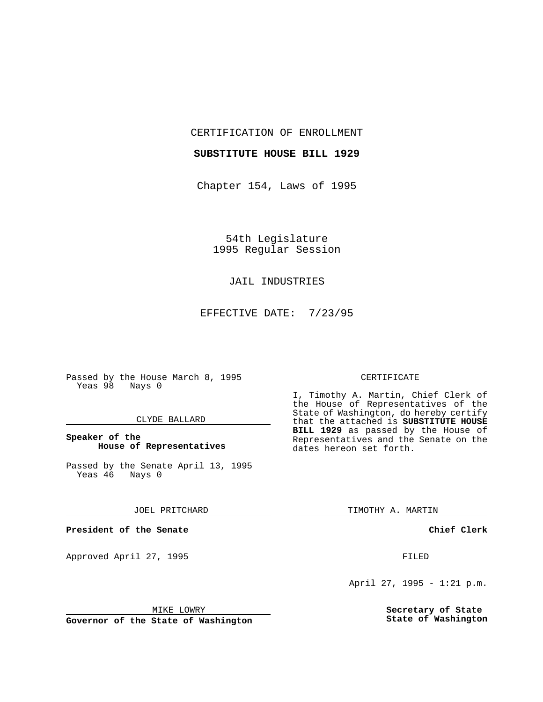CERTIFICATION OF ENROLLMENT

# **SUBSTITUTE HOUSE BILL 1929**

Chapter 154, Laws of 1995

54th Legislature 1995 Regular Session

# JAIL INDUSTRIES

EFFECTIVE DATE: 7/23/95

Passed by the House March 8, 1995 Yeas 98 Nays 0

### CLYDE BALLARD

# **Speaker of the House of Representatives**

Passed by the Senate April 13, 1995<br>Yeas 46 Nays 0 Yeas 46

## JOEL PRITCHARD

**President of the Senate**

Approved April 27, 1995 FILED

## MIKE LOWRY

**Governor of the State of Washington**

## CERTIFICATE

I, Timothy A. Martin, Chief Clerk of the House of Representatives of the State of Washington, do hereby certify that the attached is **SUBSTITUTE HOUSE BILL 1929** as passed by the House of Representatives and the Senate on the dates hereon set forth.

TIMOTHY A. MARTIN

## **Chief Clerk**

April 27, 1995 - 1:21 p.m.

**Secretary of State State of Washington**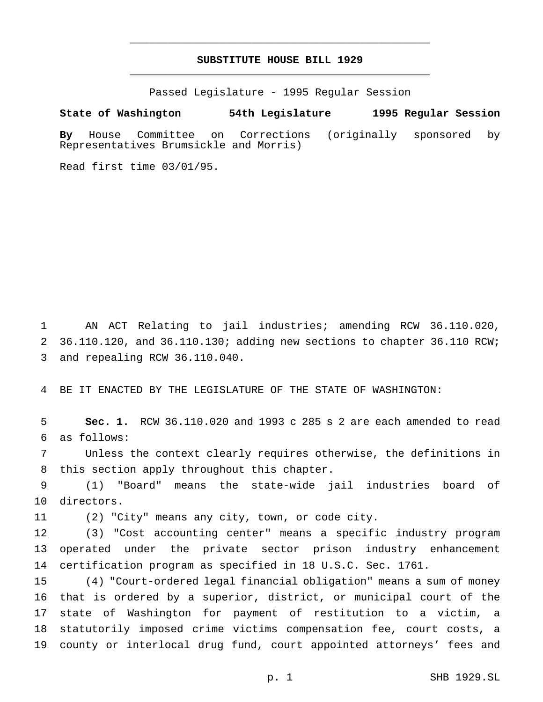# **SUBSTITUTE HOUSE BILL 1929** \_\_\_\_\_\_\_\_\_\_\_\_\_\_\_\_\_\_\_\_\_\_\_\_\_\_\_\_\_\_\_\_\_\_\_\_\_\_\_\_\_\_\_\_\_\_\_

\_\_\_\_\_\_\_\_\_\_\_\_\_\_\_\_\_\_\_\_\_\_\_\_\_\_\_\_\_\_\_\_\_\_\_\_\_\_\_\_\_\_\_\_\_\_\_

Passed Legislature - 1995 Regular Session

#### **State of Washington 54th Legislature 1995 Regular Session**

**By** House Committee on Corrections (originally sponsored by Representatives Brumsickle and Morris)

Read first time 03/01/95.

 AN ACT Relating to jail industries; amending RCW 36.110.020, 36.110.120, and 36.110.130; adding new sections to chapter 36.110 RCW; and repealing RCW 36.110.040.

BE IT ENACTED BY THE LEGISLATURE OF THE STATE OF WASHINGTON:

 **Sec. 1.** RCW 36.110.020 and 1993 c 285 s 2 are each amended to read as follows:

 Unless the context clearly requires otherwise, the definitions in this section apply throughout this chapter.

 (1) "Board" means the state-wide jail industries board of directors.

(2) "City" means any city, town, or code city.

 (3) "Cost accounting center" means a specific industry program operated under the private sector prison industry enhancement certification program as specified in 18 U.S.C. Sec. 1761.

 (4) "Court-ordered legal financial obligation" means a sum of money that is ordered by a superior, district, or municipal court of the state of Washington for payment of restitution to a victim, a statutorily imposed crime victims compensation fee, court costs, a county or interlocal drug fund, court appointed attorneys' fees and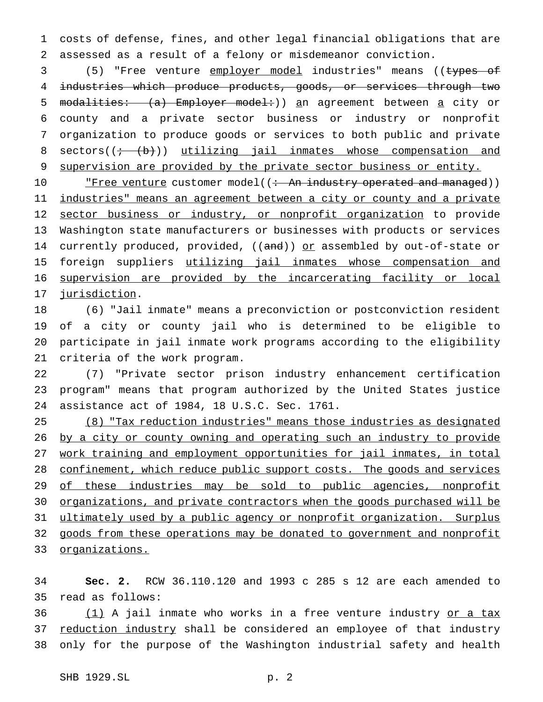1 costs of defense, fines, and other legal financial obligations that are 2 assessed as a result of a felony or misdemeanor conviction.

3 (5) "Free venture employer model industries" means ((types of 4 industries which produce products, goods, or services through two 5 modalities: (a) Employer model:)) an agreement between a city or 6 county and a private sector business or industry or nonprofit 7 organization to produce goods or services to both public and private 8 sectors( $(i + (b))$  utilizing jail inmates whose compensation and 9 supervision are provided by the private sector business or entity.

10 The rest rest customer model((: An industry operated and managed)) 11 industries" means an agreement between a city or county and a private 12 sector business or industry, or nonprofit organization to provide 13 Washington state manufacturers or businesses with products or services 14 currently produced, provided, ((and)) or assembled by out-of-state or 15 foreign suppliers utilizing jail inmates whose compensation and 16 supervision are provided by the incarcerating facility or local 17 jurisdiction.

 (6) "Jail inmate" means a preconviction or postconviction resident of a city or county jail who is determined to be eligible to participate in jail inmate work programs according to the eligibility criteria of the work program.

22 (7) "Private sector prison industry enhancement certification 23 program" means that program authorized by the United States justice 24 assistance act of 1984, 18 U.S.C. Sec. 1761.

25 (8) "Tax reduction industries" means those industries as designated 26 by a city or county owning and operating such an industry to provide 27 work training and employment opportunities for jail inmates, in total 28 confinement, which reduce public support costs. The goods and services 29 of these industries may be sold to public agencies, nonprofit 30 organizations, and private contractors when the goods purchased will be 31 ultimately used by a public agency or nonprofit organization. Surplus 32 goods from these operations may be donated to government and nonprofit 33 organizations.

34 **Sec. 2.** RCW 36.110.120 and 1993 c 285 s 12 are each amended to 35 read as follows:

36 (1) A jail inmate who works in a free venture industry or a tax 37 reduction industry shall be considered an employee of that industry 38 only for the purpose of the Washington industrial safety and health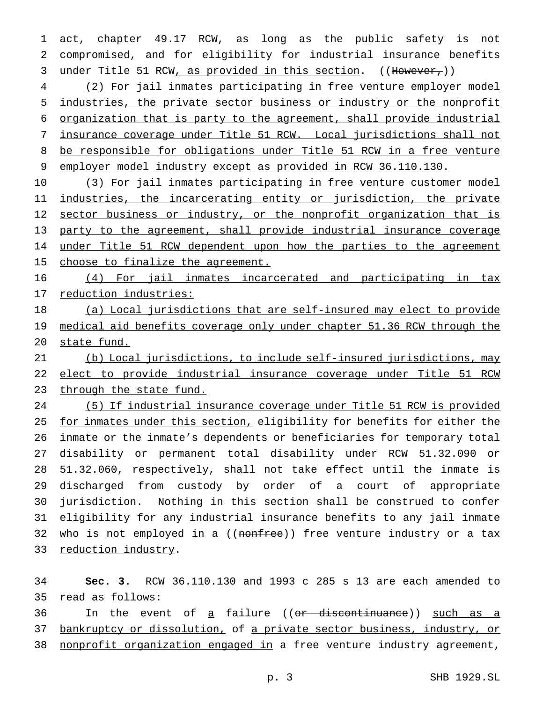act, chapter 49.17 RCW, as long as the public safety is not compromised, and for eligibility for industrial insurance benefits 3 under Title 51 RCW, as provided in this section. ((However,))

 (2) For jail inmates participating in free venture employer model industries, the private sector business or industry or the nonprofit organization that is party to the agreement, shall provide industrial insurance coverage under Title 51 RCW. Local jurisdictions shall not be responsible for obligations under Title 51 RCW in a free venture employer model industry except as provided in RCW 36.110.130.

 (3) For jail inmates participating in free venture customer model 11 industries, the incarcerating entity or jurisdiction, the private 12 sector business or industry, or the nonprofit organization that is party to the agreement, shall provide industrial insurance coverage 14 under Title 51 RCW dependent upon how the parties to the agreement 15 choose to finalize the agreement.

 (4) For jail inmates incarcerated and participating in tax reduction industries:

 (a) Local jurisdictions that are self-insured may elect to provide 19 medical aid benefits coverage only under chapter 51.36 RCW through the state fund.

 (b) Local jurisdictions, to include self-insured jurisdictions, may elect to provide industrial insurance coverage under Title 51 RCW 23 through the state fund.

 (5) If industrial insurance coverage under Title 51 RCW is provided 25 for inmates under this section, eligibility for benefits for either the inmate or the inmate's dependents or beneficiaries for temporary total disability or permanent total disability under RCW 51.32.090 or 51.32.060, respectively, shall not take effect until the inmate is discharged from custody by order of a court of appropriate jurisdiction. Nothing in this section shall be construed to confer eligibility for any industrial insurance benefits to any jail inmate 32 who is not employed in a ((nonfree)) free venture industry or a tax 33 reduction industry.

 **Sec. 3.** RCW 36.110.130 and 1993 c 285 s 13 are each amended to read as follows:

36 In the event of a failure ((or discontinuance)) such as a 37 bankruptcy or dissolution, of a private sector business, industry, or 38 nonprofit organization engaged in a free venture industry agreement,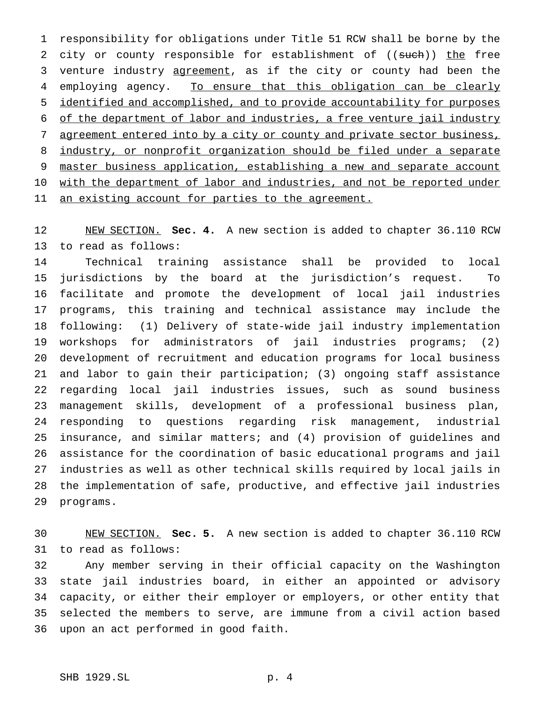responsibility for obligations under Title 51 RCW shall be borne by the 2 city or county responsible for establishment of ((such)) the free 3 venture industry agreement, as if the city or county had been the employing agency. To ensure that this obligation can be clearly identified and accomplished, and to provide accountability for purposes of the department of labor and industries, a free venture jail industry agreement entered into by a city or county and private sector business, industry, or nonprofit organization should be filed under a separate master business application, establishing a new and separate account 10 with the department of labor and industries, and not be reported under 11 an existing account for parties to the agreement.

 NEW SECTION. **Sec. 4.** A new section is added to chapter 36.110 RCW to read as follows:

 Technical training assistance shall be provided to local jurisdictions by the board at the jurisdiction's request. To facilitate and promote the development of local jail industries programs, this training and technical assistance may include the following: (1) Delivery of state-wide jail industry implementation workshops for administrators of jail industries programs; (2) development of recruitment and education programs for local business and labor to gain their participation; (3) ongoing staff assistance regarding local jail industries issues, such as sound business management skills, development of a professional business plan, responding to questions regarding risk management, industrial insurance, and similar matters; and (4) provision of guidelines and assistance for the coordination of basic educational programs and jail industries as well as other technical skills required by local jails in the implementation of safe, productive, and effective jail industries programs.

 NEW SECTION. **Sec. 5.** A new section is added to chapter 36.110 RCW to read as follows:

 Any member serving in their official capacity on the Washington state jail industries board, in either an appointed or advisory capacity, or either their employer or employers, or other entity that selected the members to serve, are immune from a civil action based upon an act performed in good faith.